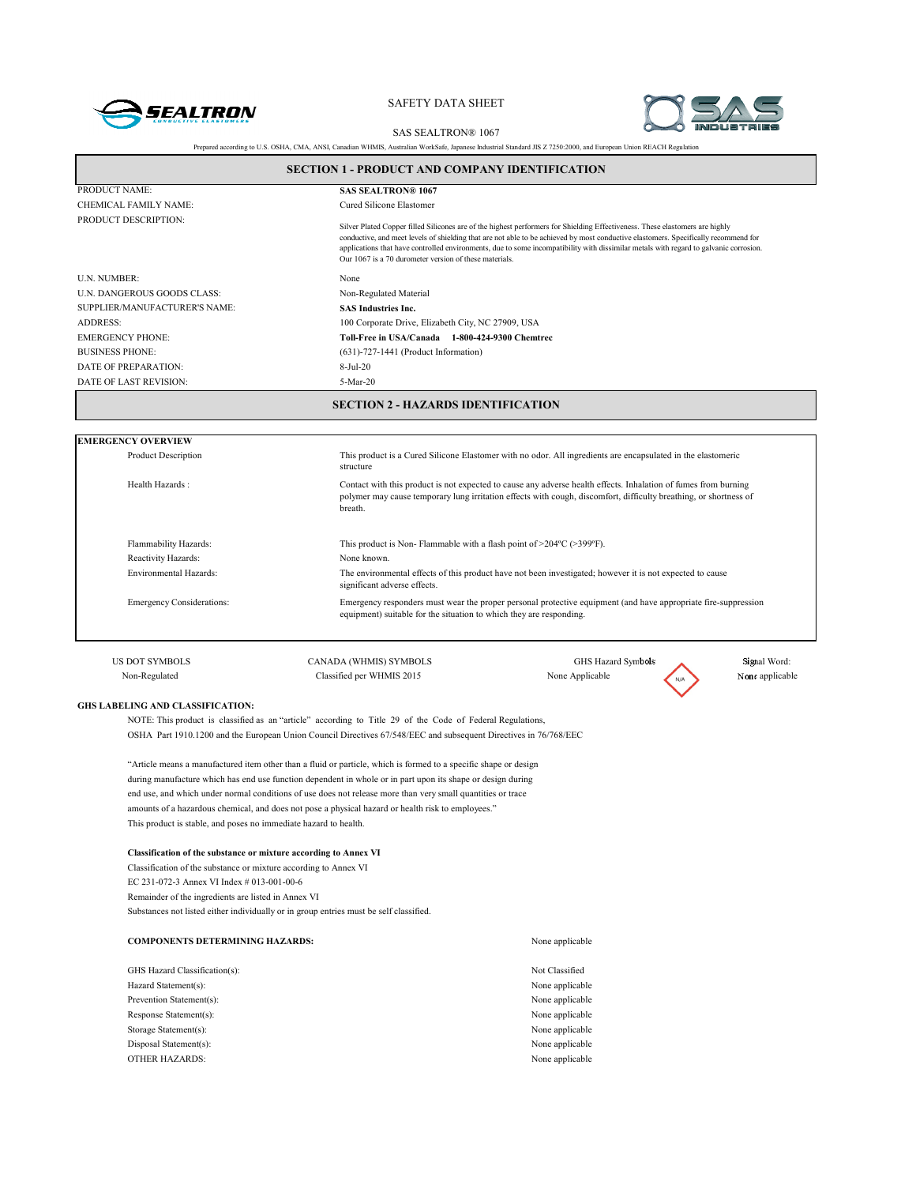



SAS SEALTRON® 1067

| Prepared according to U.S. OSHA, CMA, ANSI, Canadian WHMIS, Australian WorkSafe, Japanese Industrial Standard JIS Z 7250:2000, and European Union REACH Regulation |  |
|--------------------------------------------------------------------------------------------------------------------------------------------------------------------|--|
|                                                                                                                                                                    |  |

| PRODUCT NAME:                    | <b>SAS SEALTRON® 1067</b>                                                                                                                                                                                                                                                                                                                                                                                                                                              |
|----------------------------------|------------------------------------------------------------------------------------------------------------------------------------------------------------------------------------------------------------------------------------------------------------------------------------------------------------------------------------------------------------------------------------------------------------------------------------------------------------------------|
| CHEMICAL FAMILY NAME:            | Cured Silicone Elastomer                                                                                                                                                                                                                                                                                                                                                                                                                                               |
| PRODUCT DESCRIPTION:             | Silver Plated Copper filled Silicones are of the highest performers for Shielding Effectiveness. These elastomers are highly<br>conductive, and meet levels of shielding that are not able to be achieved by most conductive elastomers. Specifically recommend for<br>applications that have controlled environments, due to some incompatibility with dissimilar metals with regard to galvanic corrosion.<br>Our 1067 is a 70 durometer version of these materials. |
| <b>U.N. NUMBER:</b>              | None                                                                                                                                                                                                                                                                                                                                                                                                                                                                   |
| U.N. DANGEROUS GOODS CLASS:      | Non-Regulated Material                                                                                                                                                                                                                                                                                                                                                                                                                                                 |
| SUPPLIER/MANUFACTURER'S NAME:    | <b>SAS Industries Inc.</b>                                                                                                                                                                                                                                                                                                                                                                                                                                             |
| <b>ADDRESS:</b>                  | 100 Corporate Drive, Elizabeth City, NC 27909, USA                                                                                                                                                                                                                                                                                                                                                                                                                     |
| <b>EMERGENCY PHONE:</b>          | Toll-Free in USA/Canada 1-800-424-9300 Chemtrec                                                                                                                                                                                                                                                                                                                                                                                                                        |
| <b>BUSINESS PHONE:</b>           | $(631)$ -727-1441 (Product Information)                                                                                                                                                                                                                                                                                                                                                                                                                                |
| DATE OF PREPARATION:             | $8-Jul-20$                                                                                                                                                                                                                                                                                                                                                                                                                                                             |
| DATE OF LAST REVISION:           | 5-Mar-20                                                                                                                                                                                                                                                                                                                                                                                                                                                               |
|                                  |                                                                                                                                                                                                                                                                                                                                                                                                                                                                        |
| <b>EMERGENCY OVERVIEW</b>        |                                                                                                                                                                                                                                                                                                                                                                                                                                                                        |
| <b>Product Description</b>       | This product is a Cured Silicone Elastomer with no odor. All ingredients are encapsulated in the elastomeric<br>structure                                                                                                                                                                                                                                                                                                                                              |
| Health Hazards:                  | Contact with this product is not expected to cause any adverse health effects. Inhalation of fumes from burning<br>polymer may cause temporary lung irritation effects with cough, discomfort, difficulty breathing, or shortness of<br>breath.                                                                                                                                                                                                                        |
| Flammability Hazards:            | This product is Non-Flammable with a flash point of $>204$ °C ( $>399$ °F).                                                                                                                                                                                                                                                                                                                                                                                            |
| Reactivity Hazards:              | None known.                                                                                                                                                                                                                                                                                                                                                                                                                                                            |
| Environmental Hazards:           | The environmental effects of this product have not been investigated; however it is not expected to cause<br>significant adverse effects.                                                                                                                                                                                                                                                                                                                              |
| <b>Emergency Considerations:</b> | Emergency responders must wear the proper personal protective equipment (and have appropriate fire-suppression<br>equipment) suitable for the situation to which they are responding.                                                                                                                                                                                                                                                                                  |
| <b>US DOT SYMBOLS</b>            | CANADA (WHMIS) SYMBOLS<br>GHS Hazard Symbols<br>Signal Word:                                                                                                                                                                                                                                                                                                                                                                                                           |

### **GHS LABELING AND CLASSIFICATION:**

NOTE: This product is classified as an "article" according to Title 29 of the Code of Federal Regulations, OSHA Part 1910.1200 and the European Union Council Directives 67/548/EEC and subsequent Directives in 76/768/EEC

"Article means a manufactured item other than a fluid or particle, which is formed to a specific shape or design during manufacture which has end use function dependent in whole or in part upon its shape or design during end use, and which under normal conditions of use does not release more than very small quantities or trace amounts of a hazardous chemical, and does not pose a physical hazard or health risk to employees." This product is stable, and poses no immediate hazard to health.

#### **Classification of the substance or mixture according to Annex VI**

Classification of the substance or mixture according to Annex VI EC 231-072-3 Annex VI Index # 013-001-00-6 Remainder of the ingredients are listed in Annex VI Substances not listed either individually or in group entries must be self classified.

| <b>COMPONENTS DETERMINING HAZARDS:</b> | None applicable |
|----------------------------------------|-----------------|
| GHS Hazard Classification(s):          | Not Classified  |
| Hazard Statement(s):                   | None applicable |
| Prevention Statement(s):               | None applicable |
| Response Statement(s):                 | None applicable |
| Storage Statement(s):                  | None applicable |
| Disposal Statement(s):                 | None applicable |
| <b>OTHER HAZARDS:</b>                  | None applicable |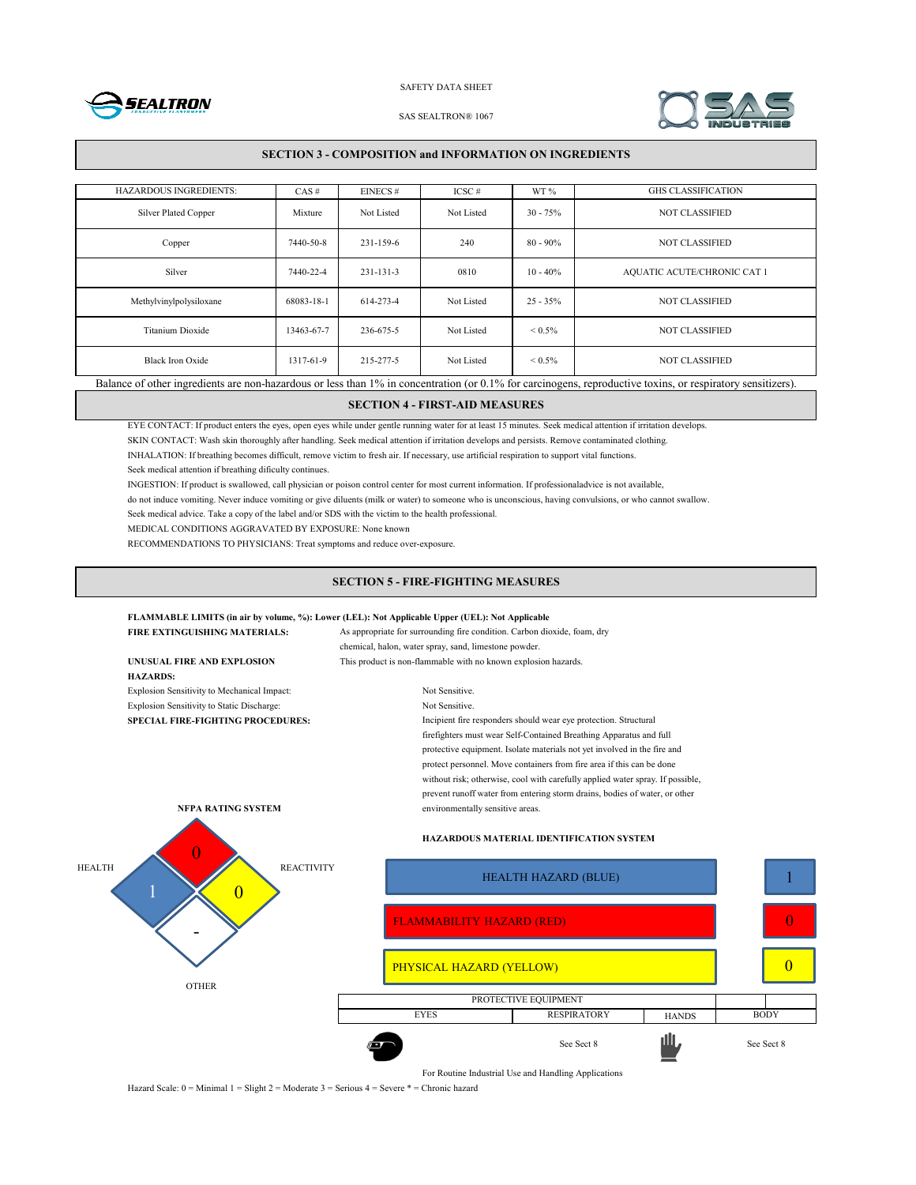



#### SAS SEALTRON® 1067

## **SECTION 3 - COMPOSITION and INFORMATION ON INGREDIENTS**

| <b>HAZARDOUS INGREDIENTS:</b>                                                                                                                               | $CAS \#$   | $EINECS \#$     | $ICSC \#$  | WT %              | <b>GHS CLASSIFICATION</b>   |
|-------------------------------------------------------------------------------------------------------------------------------------------------------------|------------|-----------------|------------|-------------------|-----------------------------|
| <b>Silver Plated Copper</b>                                                                                                                                 | Mixture    | Not Listed      | Not Listed | $30 - 75%$        | <b>NOT CLASSIFIED</b>       |
| Copper                                                                                                                                                      | 7440-50-8  | 231-159-6       | 240        | $80 - 90\%$       | <b>NOT CLASSIFIED</b>       |
| Silver                                                                                                                                                      | 7440-22-4  | $231 - 131 - 3$ | 0810       | $10 - 40\%$       | AQUATIC ACUTE/CHRONIC CAT 1 |
| Methylvinylpolysiloxane                                                                                                                                     | 68083-18-1 | 614-273-4       | Not Listed | $25 - 35\%$       | <b>NOT CLASSIFIED</b>       |
| Titanium Dioxide                                                                                                                                            | 13463-67-7 | 236-675-5       | Not Listed | ${}_{\leq 0.5\%}$ | <b>NOT CLASSIFIED</b>       |
| Black Iron Oxide                                                                                                                                            | 1317-61-9  | 215-277-5       | Not Listed | ${}_{\leq 0.5\%}$ | <b>NOT CLASSIFIED</b>       |
| Balance of other ingredients are non-hazardous or less than 1% in concentration (or 0.1% for carcinogens, reproductive toxins, or respiratory sensitizers). |            |                 |            |                   |                             |

# **SECTION 4 - FIRST-AID MEASURES**

EYE CONTACT: If product enters the eyes, open eyes while under gentle running water for at least 15 minutes. Seek medical attention if irritation develops.

SKIN CONTACT: Wash skin thoroughly after handling. Seek medical attention if irritation develops and persists. Remove contaminated clothing.

INHALATION: If breathing becomes difficult, remove victim to fresh air. If necessary, use artificial respiration to support vital functions.

Seek medical attention if breathing dificulty continues.

INGESTION: If product is swallowed, call physician or poison control center for most current information. If professionaladvice is not available,

do not induce vomiting. Never induce vomiting or give diluents (milk or water) to someone who is unconscious, having convulsions, or who cannot swallow.

Seek medical advice. Take a copy of the label and/or SDS with the victim to the health professional.

MEDICAL CONDITIONS AGGRAVATED BY EXPOSURE: None known

RECOMMENDATIONS TO PHYSICIANS: Treat symptoms and reduce over-exposure.

## **SECTION 5 - FIRE-FIGHTING MEASURES**

## **FLAMMABLE LIMITS (in air by volume, %): Lower (LEL): Not Applicable Upper (UEL): Not Applicable**

| FIRE EXTINGUISHING MATERIALS:                 | As appropriate for surrounding fire condition. Carbon dioxide, foam, dry<br>chemical, halon, water spray, sand, limestone powder. |                                                                                                                                                                                                                                                                                                                                                                                                                                     |              |             |  |  |
|-----------------------------------------------|-----------------------------------------------------------------------------------------------------------------------------------|-------------------------------------------------------------------------------------------------------------------------------------------------------------------------------------------------------------------------------------------------------------------------------------------------------------------------------------------------------------------------------------------------------------------------------------|--------------|-------------|--|--|
| UNUSUAL FIRE AND EXPLOSION<br><b>HAZARDS:</b> | This product is non-flammable with no known explosion hazards.                                                                    |                                                                                                                                                                                                                                                                                                                                                                                                                                     |              |             |  |  |
| Explosion Sensitivity to Mechanical Impact:   | Not Sensitive.                                                                                                                    |                                                                                                                                                                                                                                                                                                                                                                                                                                     |              |             |  |  |
| Explosion Sensitivity to Static Discharge:    | Not Sensitive.                                                                                                                    |                                                                                                                                                                                                                                                                                                                                                                                                                                     |              |             |  |  |
| <b>SPECIAL FIRE-FIGHTING PROCEDURES:</b>      | Incipient fire responders should wear eye protection. Structural                                                                  |                                                                                                                                                                                                                                                                                                                                                                                                                                     |              |             |  |  |
| <b>NFPA RATING SYSTEM</b>                     | environmentally sensitive areas.                                                                                                  | firefighters must wear Self-Contained Breathing Apparatus and full<br>protective equipment. Isolate materials not yet involved in the fire and<br>protect personnel. Move containers from fire area if this can be done<br>without risk; otherwise, cool with carefully applied water spray. If possible,<br>prevent runoff water from entering storm drains, bodies of water, or other<br>HAZARDOUS MATERIAL IDENTIFICATION SYSTEM |              |             |  |  |
| <b>HEALTH</b><br><b>REACTIVITY</b>            |                                                                                                                                   | <b>HEALTH HAZARD (BLUE)</b>                                                                                                                                                                                                                                                                                                                                                                                                         |              |             |  |  |
|                                               | <b>FLAMMABILITY HAZARD (RED)</b>                                                                                                  |                                                                                                                                                                                                                                                                                                                                                                                                                                     |              |             |  |  |
| <b>OTHER</b>                                  |                                                                                                                                   | PHYSICAL HAZARD (YELLOW)                                                                                                                                                                                                                                                                                                                                                                                                            |              |             |  |  |
|                                               |                                                                                                                                   | PROTECTIVE EQUIPMENT                                                                                                                                                                                                                                                                                                                                                                                                                |              |             |  |  |
|                                               | <b>EYES</b>                                                                                                                       | <b>RESPIRATORY</b>                                                                                                                                                                                                                                                                                                                                                                                                                  | <b>HANDS</b> | <b>BODY</b> |  |  |

For Routine Industrial Use and Handling Applications

See Sect 8 See Sect 8

1

0

0

Hazard Scale: 0 = Minimal 1 = Slight 2 = Moderate 3 = Serious 4 = Severe \* = Chronic hazard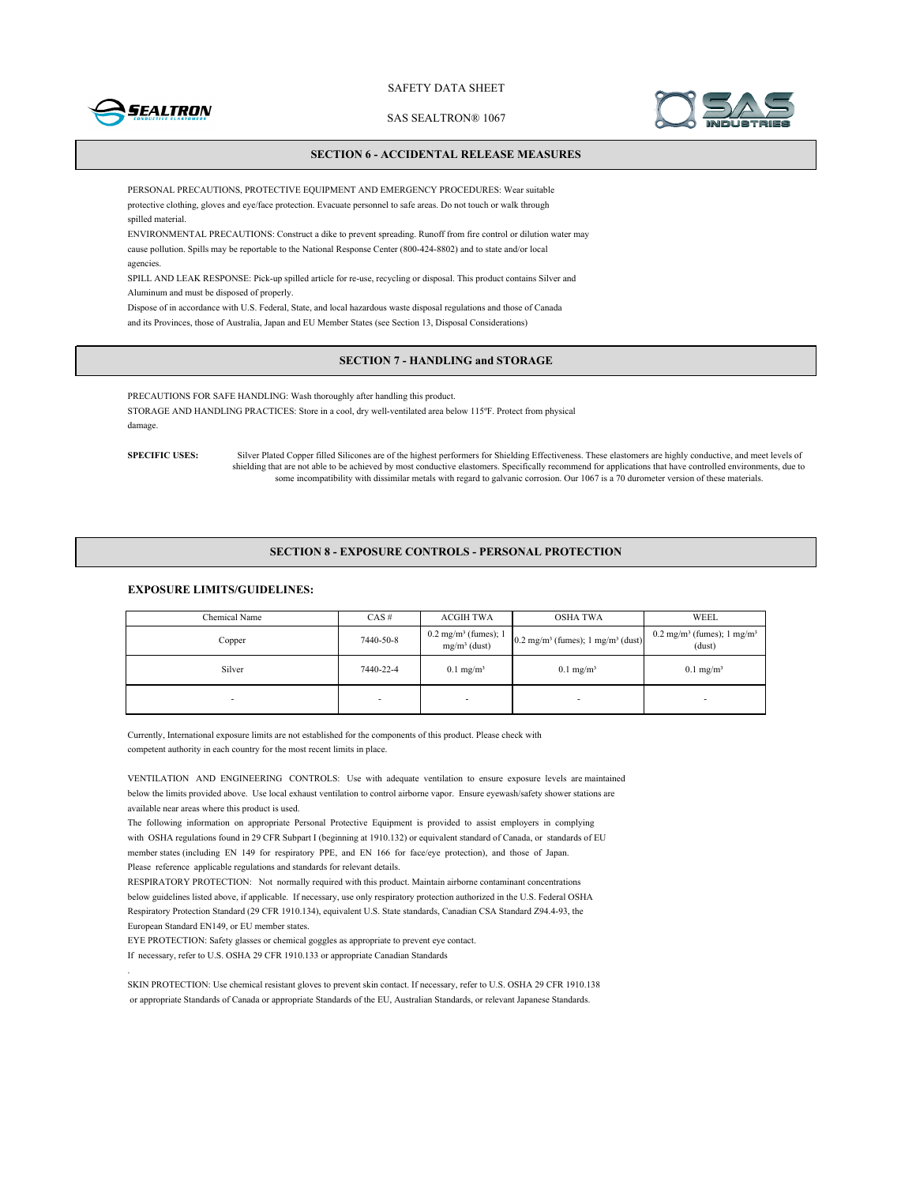

SAS SEALTRON® 1067



## **SECTION 6 - ACCIDENTAL RELEASE MEASURES**

PERSONAL PRECAUTIONS, PROTECTIVE EQUIPMENT AND EMERGENCY PROCEDURES: Wear suitable protective clothing, gloves and eye/face protection. Evacuate personnel to safe areas. Do not touch or walk through spilled material.

ENVIRONMENTAL PRECAUTIONS: Construct a dike to prevent spreading. Runoff from fire control or dilution water may cause pollution. Spills may be reportable to the National Response Center (800-424-8802) and to state and/or local agencies.

SPILL AND LEAK RESPONSE: Pick-up spilled article for re-use, recycling or disposal. This product contains Silver and Aluminum and must be disposed of properly.

Dispose of in accordance with U.S. Federal, State, and local hazardous waste disposal regulations and those of Canada and its Provinces, those of Australia, Japan and EU Member States (see Section 13, Disposal Considerations)

# **SECTION 7 - HANDLING and STORAGE**

PRECAUTIONS FOR SAFE HANDLING: Wash thoroughly after handling this product. STORAGE AND HANDLING PRACTICES: Store in a cool, dry well-ventilated area below 115ºF. Protect from physical damage.

**SPECIFIC USES:** Silver Plated Copper filled Silicones are of the highest performers for Shielding Effectiveness. These elastomers are highly conductive, and meet levels of shielding that are not able to be achieved by most conductive elastomers. Specifically recommend for applications that have controlled environments, due to some incompatibility with dissimilar metals with regard to galvanic corrosion. Our 1067 is a 70 durometer version of these materials.

#### **SECTION 8 - EXPOSURE CONTROLS - PERSONAL PROTECTION**

# **EXPOSURE LIMITS/GUIDELINES:**

| Chemical Name | $CAS \#$  | <b>ACGIH TWA</b>        | <b>OSHA TWA</b>                                                                                                  | WEEL                                                        |
|---------------|-----------|-------------------------|------------------------------------------------------------------------------------------------------------------|-------------------------------------------------------------|
| Copper        | 7440-50-8 | $mg/m^3$ (dust)         | $0.2 \text{ mg/m}^3 \text{ (fumes)}; 1 \mid 0.2 \text{ mg/m}^3 \text{ (fumes)}; 1 \text{ mg/m}^3 \text{ (dust)}$ | $0.2 \text{ mg/m}^3$ (fumes); 1 mg/m <sup>3</sup><br>(dust) |
| Silver        | 7440-22-4 | $0.1$ mg/m <sup>3</sup> | $0.1$ mg/m <sup>3</sup>                                                                                          | $0.1$ mg/m <sup>3</sup>                                     |
|               | ۰         |                         |                                                                                                                  | -                                                           |

Currently, International exposure limits are not established for the components of this product. Please check with competent authority in each country for the most recent limits in place.

VENTILATION AND ENGINEERING CONTROLS: Use with adequate ventilation to ensure exposure levels are maintained below the limits provided above. Use local exhaust ventilation to control airborne vapor. Ensure eyewash/safety shower stations are available near areas where this product is used.

The following information on appropriate Personal Protective Equipment is provided to assist employers in complying with OSHA regulations found in 29 CFR Subpart I (beginning at 1910.132) or equivalent standard of Canada, or standards of EU member states (including EN 149 for respiratory PPE, and EN 166 for face/eye protection), and those of Japan. Please reference applicable regulations and standards for relevant details.

RESPIRATORY PROTECTION: Not normally required with this product. Maintain airborne contaminant concentrations below guidelines listed above, if applicable. If necessary, use only respiratory protection authorized in the U.S. Federal OSHA Respiratory Protection Standard (29 CFR 1910.134), equivalent U.S. State standards, Canadian CSA Standard Z94.4-93, the European Standard EN149, or EU member states.

EYE PROTECTION: Safety glasses or chemical goggles as appropriate to prevent eye contact.

If necessary, refer to U.S. OSHA 29 CFR 1910.133 or appropriate Canadian Standards

.

SKIN PROTECTION: Use chemical resistant gloves to prevent skin contact. If necessary, refer to U.S. OSHA 29 CFR 1910.138 or appropriate Standards of Canada or appropriate Standards of the EU, Australian Standards, or relevant Japanese Standards.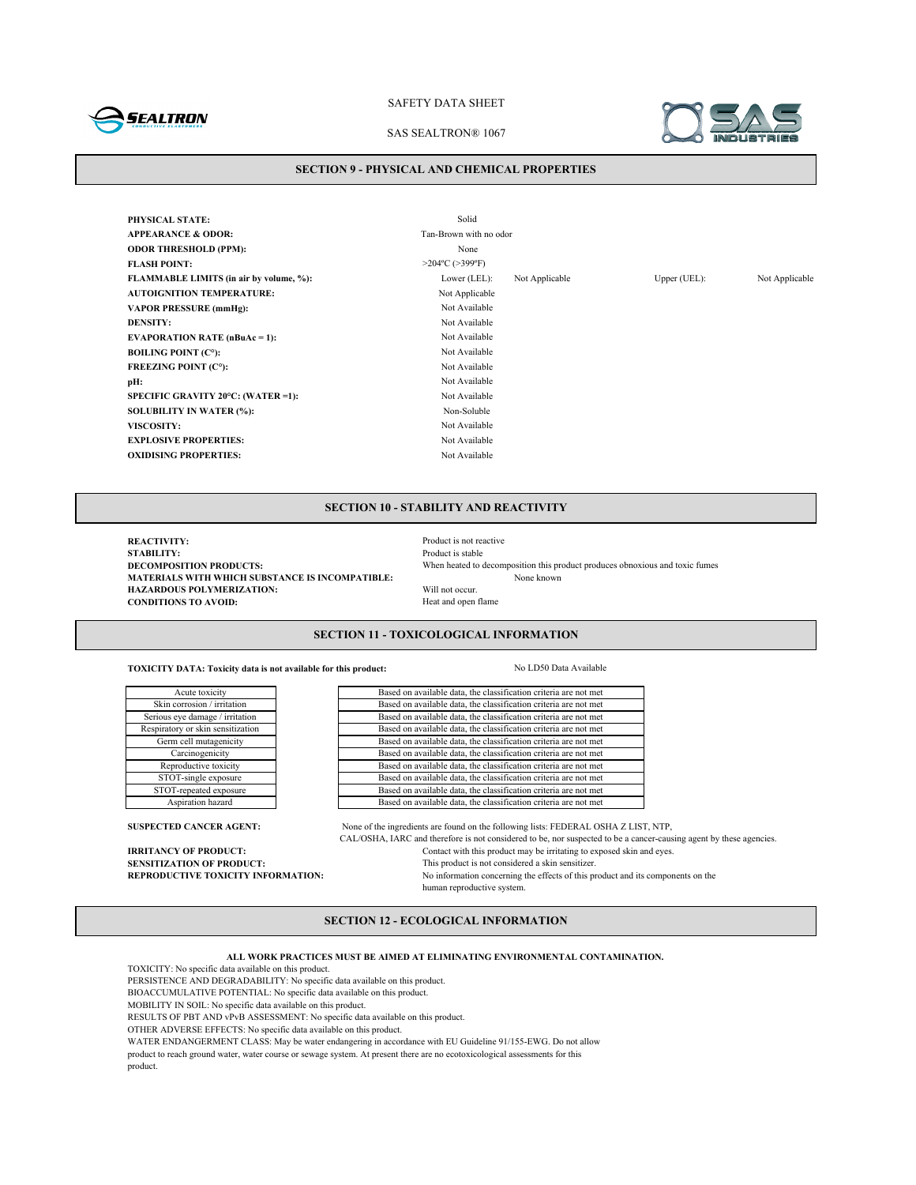

### SAS SEALTRON® 1067

#### **SECTION 9 - PHYSICAL AND CHEMICAL PROPERTIES**

**PHYSICAL STATE:** Solid **APPEARANCE & ODOR:** Tan-Brown with no odor **ODOR THRESHOLD (PPM):** None **FLASH POINT:** >204°C (>399°F) **FLAMMABLE LIMITS (in air by volume, %):** Lower (LEL): Not Applicable Upper (UEL): Not Applicable **AUTOIGNITION TEMPERATURE:** Not Applicable **VAPOR PRESSURE (mmHg):** Not Available **DENSITY:** Not Available **EVAPORATION RATE (nBuAc = 1):** Not Available **BOILING POINT (C°):** Not Available **FREEZING POINT (C°):** Not Available **pH:** Not Available **SPECIFIC GRAVITY 20°C: (WATER =1):** Not Available **SOLUBILITY IN WATER (%):** Non-Soluble **VISCOSITY:** Not Available **EXPLOSIVE PROPERTIES:** Not Available **OXIDISING PROPERTIES:** Not Available

## **SECTION 10 - STABILITY AND REACTIVITY**

**REACTIVITY:**<br> **REACTIVITY:**<br> **Product is stable STABILITY:** Product is stable<br>DECOMPOSITION PRODUCTS: When heated to when heated to a stable **MATERIALS WITH WHICH SUBSTANCE IS INCOMPATIBLE:**<br> **HAZARDOUS POLYMERIZATION:** Will not occur. **HAZARDOUS POLYMERIZATION:** Will not occur.<br> **CONDITIONS TO AVOID:** Heat and open flame **CONDITIONS TO AVOID:** 

When heated to decomposition this product produces obnoxious and toxic fumes None known

## **SECTION 11 - TOXICOLOGICAL INFORMATION**

Based on available data, the classification criteria are not met Based on available data, the classification criteria are not met Based on available data, the classification criteria are not met Based on available data, the classification criteria are not met Based on available data, the classification criteria are not met Based on available data, the classification criteria are not met Based on available data, the classification criteria are not met Based on available data, the classification criteria are not met Based on available data, the classification criteria are not met Based on available data, the classification criteria are not met

**SUSPECTED CANCER AGENT:** None of the ingredients are found on the following lists: FEDERAL OSHA Z LIST, NTP, CAL/OSHA, IARC and therefore is not considered to be, nor suspected to be a cancer-causing agent by these agencies. **IRRITANCY OF PRODUCT:** Contact with this product may be irritating to exposed skin and eyes.<br>**SENSITIZATION OF PRODUCT:** This product is not considered a skin sensitizer. **SENSITIZATION OF PRODUCT:**<br> **REPRODUCTIVE TOXICITY INFORMATION:** No information concerning the effects of this m No information concerning the effects of this product and its components on the human reproductive system.

# **SECTION 12 - ECOLOGICAL INFORMATION**

**ALL WORK PRACTICES MUST BE AIMED AT ELIMINATING ENVIRONMENTAL CONTAMINATION.**

TOXICITY: No specific data available on this product.

Reproductive toxicity STOT-single exposure STOT-repeated exposure Aspiration hazard

Acute toxicity Skin corrosion / irritation Serious eye damage / irritation Respiratory or skin sensitization Germ cell mutagenicity Carcinogenicity

PERSISTENCE AND DEGRADABILITY: No specific data available on this product.

BIOACCUMULATIVE POTENTIAL: No specific data available on this product.

MOBILITY IN SOIL: No specific data available on this product.

RESULTS OF PBT AND vPvB ASSESSMENT: No specific data available on this product.

OTHER ADVERSE EFFECTS: No specific data available on this product.

WATER ENDANGERMENT CLASS: May be water endangering in accordance with EU Guideline 91/155-EWG. Do not allow

product to reach ground water, water course or sewage system. At present there are no ecotoxicological assessments for this product.

**TOXICITY DATA: Toxicity data is not available for this product:** No LD50 Data Available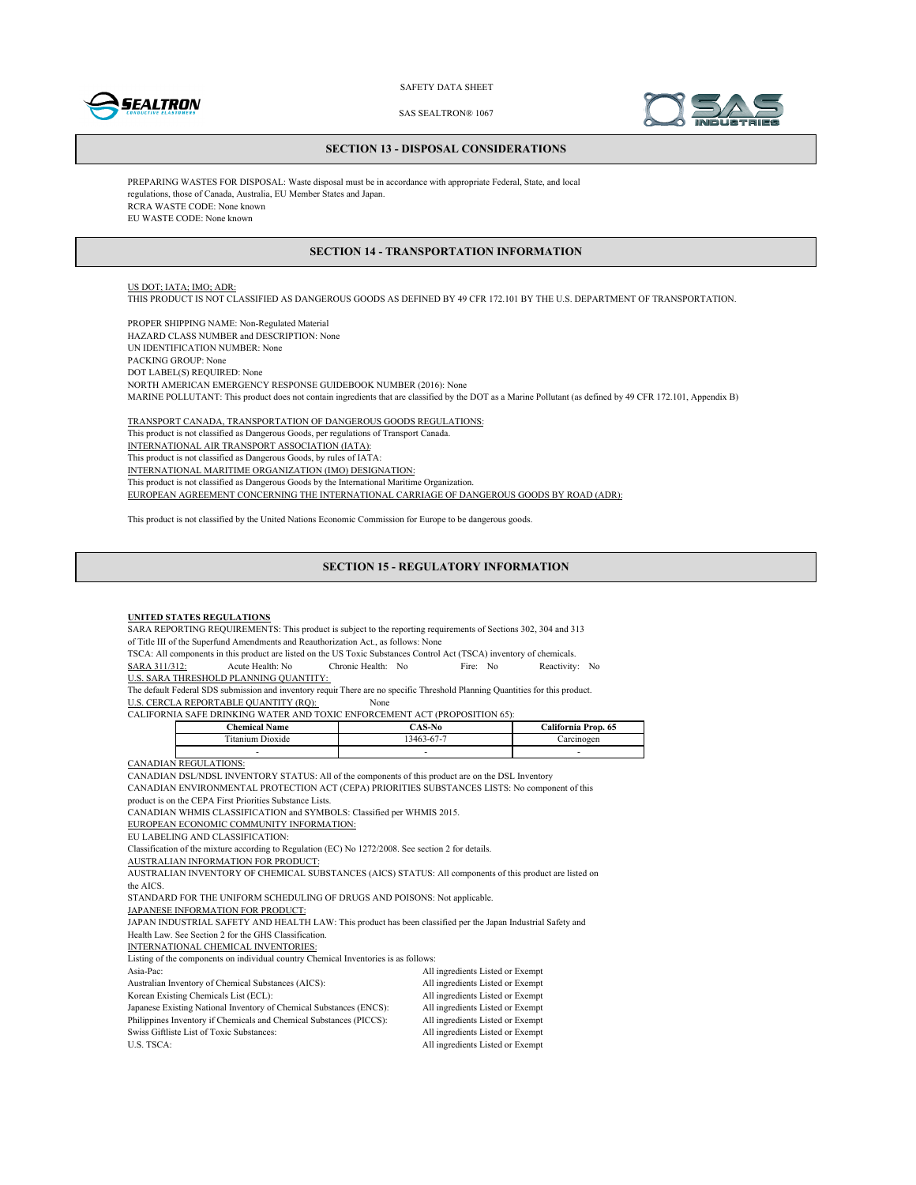



SAS SEALTRON® 1067

#### **SECTION 13 - DISPOSAL CONSIDERATIONS**

PREPARING WASTES FOR DISPOSAL: Waste disposal must be in accordance with appropriate Federal, State, and local regulations, those of Canada, Australia, EU Member States and Japan. RCRA WASTE CODE: None known EU WASTE CODE: None known

## **SECTION 14 - TRANSPORTATION INFORMATION**

# US DOT; IATA; IMO; ADR:

THIS PRODUCT IS NOT CLASSIFIED AS DANGEROUS GOODS AS DEFINED BY 49 CFR 172.101 BY THE U.S. DEPARTMENT OF TRANSPORTATION.

PROPER SHIPPING NAME: Non-Regulated Material HAZARD CLASS NUMBER and DESCRIPTION: None UN IDENTIFICATION NUMBER: None PACKING GROUP: None DOT LABEL(S) REQUIRED: None NORTH AMERICAN EMERGENCY RESPONSE GUIDEBOOK NUMBER (2016): None MARINE POLLUTANT: This product does not contain ingredients that are classified by the DOT as a Marine Pollutant (as defined by 49 CFR 172.101, Appendix B)

TRANSPORT CANADA, TRANSPORTATION OF DANGEROUS GOODS REGULATIONS: This product is not classified as Dangerous Goods, per regulations of Transport Canada. INTERNATIONAL AIR TRANSPORT ASSOCIATION (IATA): This product is not classified as Dangerous Goods, by rules of IATA: INTERNATIONAL MARITIME ORGANIZATION (IMO) DESIGNATION: This product is not classified as Dangerous Goods by the International Maritime Organization. EUROPEAN AGREEMENT CONCERNING THE INTERNATIONAL CARRIAGE OF DANGEROUS GOODS BY ROAD (ADR):

This product is not classified by the United Nations Economic Commission for Europe to be dangerous goods.

#### **SECTION 15 - REGULATORY INFORMATION**

#### **UNITED STATES REGULATIONS**

SARA REPORTING REQUIREMENTS: This product is subject to the reporting requirements of Sections 302, 304 and 313 of Title III of the Superfund Amendments and Reauthorization Act., as follows: None

TSCA: All components in this product are listed on the US Toxic Substances Control Act (TSCA) inventory of chemicals.<br>
SARA 311/312: Acute Health: No Fire: No Reactivity SARA 311/312: Acute Health: No Chronic Health: No Fire: No Reactivity: No

U.S. SARA THRESHOLD PLANNING QUANTITY:

The default Federal SDS submission and inventory requir There are no specific Threshold Planning Quantities for this product.

U.S. CERCLA REPORTABLE QUANTITY (RQ): None

CALIFORNIA SAFE DRINKING WATER AND TOXIC ENFORCEMENT ACT (PROPOSITION 65):

| <b>Chemical Name</b> | `AS-No    | California Prop. 65 |
|----------------------|-----------|---------------------|
| Dioxide              | 3463-67-7 | mogen               |
|                      |           | -                   |

CANADIAN REGULATIONS:

CANADIAN DSL/NDSL INVENTORY STATUS: All of the components of this product are on the DSL Inventory

CANADIAN ENVIRONMENTAL PROTECTION ACT (CEPA) PRIORITIES SUBSTANCES LISTS: No component of this

product is on the CEPA First Priorities Substance Lists.

CANADIAN WHMIS CLASSIFICATION and SYMBOLS: Classified per WHMIS 2015.

EUROPEAN ECONOMIC COMMUNITY INFORMATION:

EU LABELING AND CLASSIFICATION:

Classification of the mixture according to Regulation (EC) No 1272/2008. See section 2 for details.

AUSTRALIAN INFORMATION FOR PRODUCT:

AUSTRALIAN INVENTORY OF CHEMICAL SUBSTANCES (AICS) STATUS: All components of this product are listed on the AICS.

STANDARD FOR THE UNIFORM SCHEDULING OF DRUGS AND POISONS: Not applicable.

JAPANESE INFORMATION FOR PRODUCT:

JAPAN INDUSTRIAL SAFETY AND HEALTH LAW: This product has been classified per the Japan Industrial Safety and Health Law. See Section 2 for the GHS Classification.

INTERNATIONAL CHEMICAL INVENTORIES:

Listing of the components on individual country Chemical Inventories is as follows:

| Libing of the components on marviguar country Chemical Inventories is as follows. |                                  |
|-----------------------------------------------------------------------------------|----------------------------------|
| Asia-Pac:                                                                         | All ingredients Listed or Exempt |
| Australian Inventory of Chemical Substances (AICS):                               | All ingredients Listed or Exempt |
| Korean Existing Chemicals List (ECL):                                             | All ingredients Listed or Exempt |
| Japanese Existing National Inventory of Chemical Substances (ENCS):               | All ingredients Listed or Exempt |
| Philippines Inventory if Chemicals and Chemical Substances (PICCS):               | All ingredients Listed or Exempt |
| Swiss Giftliste List of Toxic Substances:                                         | All ingredients Listed or Exempt |
| U.S. TSCA:                                                                        | All ingredients Listed or Exempt |
|                                                                                   |                                  |